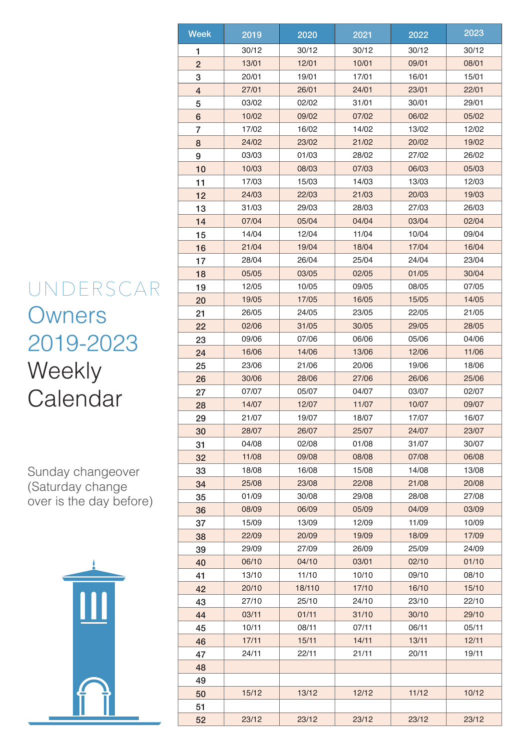## UNDERSCAR **Owners** 2019-2023 **Weekly Calendar**

Sunday changeover (Saturday change over is the day before)



| <b>Week</b>    | 2019           | 2020   | 2021  | 2022  | 2023  |
|----------------|----------------|--------|-------|-------|-------|
| 1              | 30/12          | 30/12  | 30/12 | 30/12 | 30/12 |
| $\overline{2}$ | 13/01          | 12/01  | 10/01 | 09/01 | 08/01 |
| 3              | 20/01          | 19/01  | 17/01 | 16/01 | 15/01 |
| $\overline{4}$ | 27/01          | 26/01  | 24/01 | 23/01 | 22/01 |
| 5              | 03/02          | 02/02  | 31/01 | 30/01 | 29/01 |
| $6\phantom{1}$ | 10/02          | 09/02  | 07/02 | 06/02 | 05/02 |
| 7              | 17/02          | 16/02  | 14/02 | 13/02 | 12/02 |
| 8              | 24/02          | 23/02  | 21/02 | 20/02 | 19/02 |
| 9              | 03/03          | 01/03  | 28/02 | 27/02 | 26/02 |
| 10             | 10/03          | 08/03  | 07/03 | 06/03 | 05/03 |
| 11             | 17/03          | 15/03  | 14/03 | 13/03 | 12/03 |
| 12             | 24/03          | 22/03  | 21/03 | 20/03 | 19/03 |
| 13             | 31/03          | 29/03  | 28/03 | 27/03 | 26/03 |
| 14             | 07/04          | 05/04  | 04/04 | 03/04 | 02/04 |
| 15             | 14/04          | 12/04  | 11/04 | 10/04 | 09/04 |
|                | 21/04          | 19/04  | 18/04 | 17/04 | 16/04 |
| 16<br>17       | 28/04          | 26/04  | 25/04 | 24/04 | 23/04 |
| 18             | 05/05          | 03/05  | 02/05 | 01/05 | 30/04 |
| 19             | 12/05          | 10/05  | 09/05 | 08/05 | 07/05 |
|                | 19/05          | 17/05  | 16/05 | 15/05 | 14/05 |
| 20             | 26/05          | 24/05  | 23/05 | 22/05 | 21/05 |
| 21             | 02/06          | 31/05  |       | 29/05 | 28/05 |
| 22             |                |        | 30/05 |       |       |
| 23             | 09/06          | 07/06  | 06/06 | 05/06 | 04/06 |
| 24             | 16/06          | 14/06  | 13/06 | 12/06 | 11/06 |
| 25             | 23/06          | 21/06  | 20/06 | 19/06 | 18/06 |
| 26             | 30/06          | 28/06  | 27/06 | 26/06 | 25/06 |
| 27             | 07/07          | 05/07  | 04/07 | 03/07 | 02/07 |
| 28             | 14/07          | 12/07  | 11/07 | 10/07 | 09/07 |
| 29             | 21/07          | 19/07  | 18/07 | 17/07 | 16/07 |
| 30             | 28/07<br>04/08 | 26/07  | 25/07 | 24/07 | 23/07 |
| 31             |                | 02/08  | 01/08 | 31/07 | 30/07 |
| 32             | 11/08          | 09/08  | 08/08 | 07/08 | 06/08 |
| 33             | 18/08          | 16/08  | 15/08 | 14/08 | 13/08 |
| 34             | 25/08          | 23/08  | 22/08 | 21/08 | 20/08 |
| 35             | 01/09          | 30/08  | 29/08 | 28/08 | 27/08 |
| 36             | 08/09          | 06/09  | 05/09 | 04/09 | 03/09 |
| 37             | 15/09          | 13/09  | 12/09 | 11/09 | 10/09 |
| 38             | 22/09          | 20/09  | 19/09 | 18/09 | 17/09 |
| 39             | 29/09          | 27/09  | 26/09 | 25/09 | 24/09 |
| 40             | 06/10          | 04/10  | 03/01 | 02/10 | 01/10 |
| 41             | 13/10          | 11/10  | 10/10 | 09/10 | 08/10 |
| 42             | 20/10          | 18/110 | 17/10 | 16/10 | 15/10 |
| 43             | 27/10          | 25/10  | 24/10 | 23/10 | 22/10 |
| 44             | 03/11          | 01/11  | 31/10 | 30/10 | 29/10 |
| 45             | 10/11          | 08/11  | 07/11 | 06/11 | 05/11 |
| 46             | 17/11          | 15/11  | 14/11 | 13/11 | 12/11 |
| 47             | 24/11          | 22/11  | 21/11 | 20/11 | 19/11 |
| 48             |                |        |       |       |       |
| 49             |                |        |       |       |       |
| 50             | 15/12          | 13/12  | 12/12 | 11/12 | 10/12 |
| 51             |                |        |       |       |       |
| 52             | 23/12          | 23/12  | 23/12 | 23/12 | 23/12 |